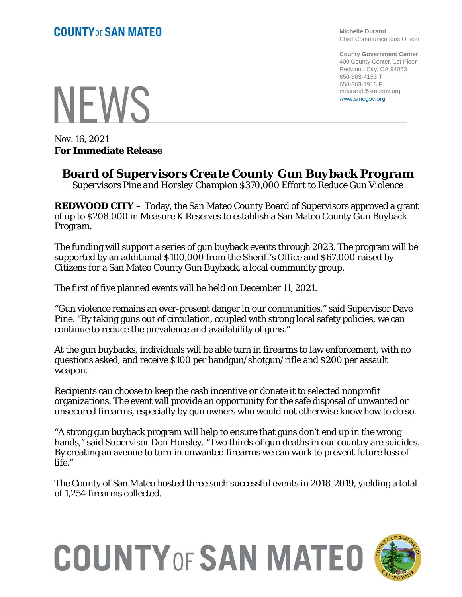**Michelle Durand** Chief Communications Officer

**County Government Center** 400 County Center, 1st Floor Redwood City, CA 94063 650-363-4153 T 650-363-1916 F mdurand@smcgov.org www.smcgov.org

**NFWS** 

Nov. 16, 2021 **For Immediate Release**

## *Board of Supervisors Create County Gun Buyback Program*

*Supervisors Pine and Horsley Champion \$370,000 Effort to Reduce Gun Violence*

**REDWOOD CITY –** Today, the San Mateo County Board of Supervisors approved a grant of up to \$208,000 in Measure K Reserves to establish a San Mateo County Gun Buyback Program.

The funding will support a series of gun buyback events through 2023. The program will be supported by an additional \$100,000 from the Sheriff's Office and \$67,000 raised by Citizens for a San Mateo County Gun Buyback, a local community group.

The first of five planned events will be held on December 11, 2021.

"Gun violence remains an ever-present danger in our communities," said Supervisor Dave Pine. "By taking guns out of circulation, coupled with strong local safety policies, we can continue to reduce the prevalence and availability of guns."

At the gun buybacks, individuals will be able turn in firearms to law enforcement, with no questions asked, and receive \$100 per handgun/shotgun/rifle and \$200 per assault weapon.

Recipients can choose to keep the cash incentive or donate it to selected nonprofit organizations. The event will provide an opportunity for the safe disposal of unwanted or unsecured firearms, especially by gun owners who would not otherwise know how to do so.

"A strong gun buyback program will help to ensure that guns don't end up in the wrong hands," said Supervisor Don Horsley. "Two thirds of gun deaths in our country are suicides. By creating an avenue to turn in unwanted firearms we can work to prevent future loss of life."

The County of San Mateo hosted three such successful events in 2018-2019, yielding a total of 1,254 firearms collected.

## **COUNTY OF SAN MATEO**